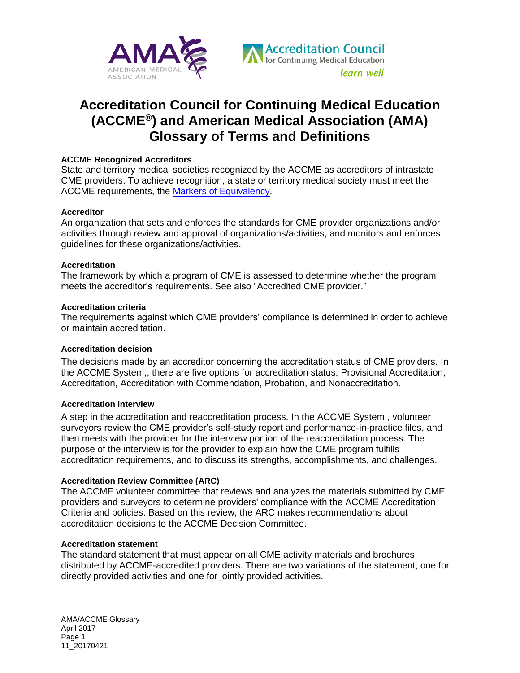



# **Accreditation Council for Continuing Medical Education (ACCME®) and American Medical Association (AMA) Glossary of Terms and Definitions**

## **[ACCME Recognized Accreditors](http://www.accme.org/accreditors)**

State and territory medical societies recognized by the ACCME as accreditors of intrastate CME providers. To achieve recognition, a state or territory medical society must meet the ACCME requirements, the [Markers of Equivalency.](http://www.accme.org/accreditors/recognition-requirements)

## **Accreditor**

An organization that sets and enforces the standards for CME provider organizations and/or activities through review and approval of organizations/activities, and monitors and enforces guidelines for these organizations/activities.

## **Accreditation**

The framework by which a program of CME is assessed to determine whether the program meets the accreditor's requirements. See also "Accredited CME provider."

## **[Accreditation criteria](http://www.accme.org/requirements/accreditation-requirements-cme-providers/accreditation-criteria)**

The requirements against which CME providers' compliance is determined in order to achieve or maintain accreditation.

## **Accreditation decision**

The decisions made by an accreditor concerning the accreditation status of CME providers. In the ACCME System,, there are five options for accreditation status: Provisional Accreditation, Accreditation, Accreditation with Commendation, Probation, and Nonaccreditation.

#### **Accreditation interview**

A step in the accreditation and reaccreditation process. In the ACCME System,, volunteer surveyors review the CME provider's self-study report and performance-in-practice files, and then meets with the provider for the interview portion of the reaccreditation process. The purpose of the interview is for the provider to explain how the CME program fulfills accreditation requirements, and to discuss its strengths, accomplishments, and challenges.

## **[Accreditation Review Committee \(ARC\)](http://www.accme.org/about-us/our-leadership/accreditation-review-committee)**

The ACCME volunteer committee that reviews and analyzes the materials submitted by CME providers and surveyors to determine providers' compliance with the ACCME Accreditation Criteria and policies. Based on this review, the ARC makes recommendations about accreditation decisions to the ACCME Decision Committee.

#### **Accreditation statement**

The standard statement that must appear on all CME activity materials and brochures distributed by ACCME-accredited providers. There are two variations of the statement; one for directly provided activities and one for jointly provided activities.

AMA/ACCME Glossary April 2017 Page 1 11\_20170421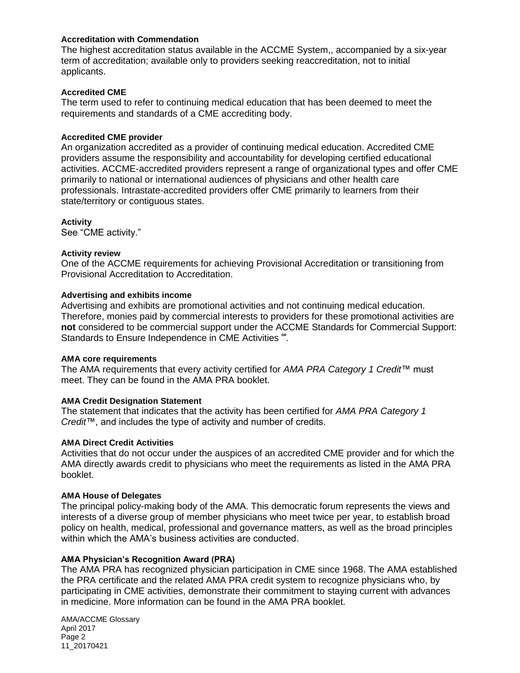## **Accreditation with Commendation**

The highest accreditation status available in the ACCME System,, accompanied by a six-year term of accreditation; available only to providers seeking reaccreditation, not to initial applicants.

## **Accredited CME**

The term used to refer to continuing medical education that has been deemed to meet the requirements and standards of a CME accrediting body.

#### **Accredited CME provider**

An organization accredited as a provider of continuing medical education. Accredited CME providers assume the responsibility and accountability for developing certified educational activities. ACCME-accredited providers represent a range of organizational types and offer CME primarily to national or international audiences of physicians and other health care professionals. Intrastate-accredited providers offer CME primarily to learners from their state/territory or contiguous states.

**Activity** See "CME activity."

## **Activity review**

One of the ACCME requirements for achieving Provisional Accreditation or transitioning from Provisional Accreditation to Accreditation.

## **Advertising and exhibits income**

Advertising and exhibits are promotional activities and not continuing medical education. Therefore, monies paid by commercial interests to providers for these promotional activities are **not** considered to be commercial support under the ACCME Standards for Commercial Support: Standards to Ensure Independence in CME Activities  $\cdot\cdot\cdot$ .

#### **AMA core requirements**

The AMA requirements that every activity certified for *AMA PRA Category 1 Credit*™ must meet. They can be found in the AMA PRA booklet.

#### **AMA Credit Designation Statement**

The statement that indicates that the activity has been certified for *AMA PRA Category 1 Credit*™, and includes the type of activity and number of credits.

#### **AMA Direct Credit Activities**

Activities that do not occur under the auspices of an accredited CME provider and for which the AMA directly awards credit to physicians who meet the requirements as listed in the AMA PRA booklet.

#### **AMA House of Delegates**

The principal policy-making body of the AMA. This democratic forum represents the views and interests of a diverse group of member physicians who meet twice per year, to establish broad policy on health, medical, professional and governance matters, as well as the broad principles within which the AMA's business activities are conducted.

## **AMA Physician's Recognition Award (PRA)**

The AMA PRA has recognized physician participation in CME since 1968. The AMA established the PRA certificate and the related AMA PRA credit system to recognize physicians who, by participating in CME activities, demonstrate their commitment to staying current with advances in medicine. More information can be found in the AMA PRA booklet*.*

AMA/ACCME Glossary April 2017 Page 2 11\_20170421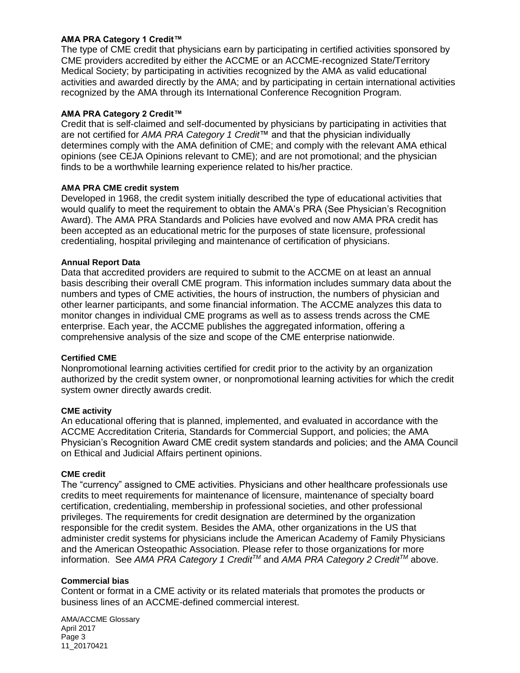# **AMA PRA Category 1 Credit™**

The type of CME credit that physicians earn by participating in certified activities sponsored by CME providers accredited by either the ACCME or an ACCME-recognized State/Territory Medical Society; by participating in activities recognized by the AMA as valid educational activities and awarded directly by the AMA; and by participating in certain international activities recognized by the AMA through its International Conference Recognition Program.

## **AMA PRA Category 2 Credit™**

Credit that is self-claimed and self-documented by physicians by participating in activities that are not certified for *AMA PRA Category 1 Credit*™ and that the physician individually determines comply with the AMA definition of CME; and comply with the relevant AMA ethical opinions (see CEJA Opinions relevant to CME); and are not promotional; and the physician finds to be a worthwhile learning experience related to his/her practice.

## **AMA PRA CME credit system**

Developed in 1968, the credit system initially described the type of educational activities that would qualify to meet the requirement to obtain the AMA's PRA (See Physician's Recognition Award). The AMA PRA Standards and Policies have evolved and now AMA PRA credit has been accepted as an educational metric for the purposes of state licensure, professional credentialing, hospital privileging and maintenance of certification of physicians.

# **[Annual Report Data](http://www.accme.org/news-publications/publications/annual-report-data)**

Data that accredited providers are required to submit to the ACCME on at least an annual basis describing their overall CME program. This information includes summary data about the numbers and types of CME activities, the hours of instruction, the numbers of physician and other learner participants, and some financial information. The ACCME analyzes this data to monitor changes in individual CME programs as well as to assess trends across the CME enterprise. Each year, the ACCME publishes the aggregated information, offering a comprehensive analysis of the size and scope of the CME enterprise nationwide.

## **Certified CME**

Nonpromotional learning activities certified for credit prior to the activity by an organization authorized by the credit system owner, or nonpromotional learning activities for which the credit system owner directly awards credit.

## **CME activity**

An educational offering that is planned, implemented, and evaluated in accordance with the ACCME Accreditation Criteria, Standards for Commercial Support, and policies; the AMA Physician's Recognition Award CME credit system standards and policies; and the AMA Council on Ethical and Judicial Affairs pertinent opinions.

## **CME credit**

The "currency" assigned to CME activities. Physicians and other healthcare professionals use credits to meet requirements for maintenance of licensure, maintenance of specialty board certification, credentialing, membership in professional societies, and other professional privileges. The requirements for credit designation are determined by the organization responsible for the credit system. Besides the AMA, other organizations in the US that administer credit systems for physicians include the American Academy of Family Physicians and the American Osteopathic Association. Please refer to those organizations for more information. See *AMA PRA Category 1 CreditTM* and *AMA PRA Category 2 CreditTM* above.

## **Commercial bias**

Content or format in a CME activity or its related materials that promotes the products or business lines of an ACCME-defined commercial interest.

AMA/ACCME Glossary April 2017 Page 3 11\_20170421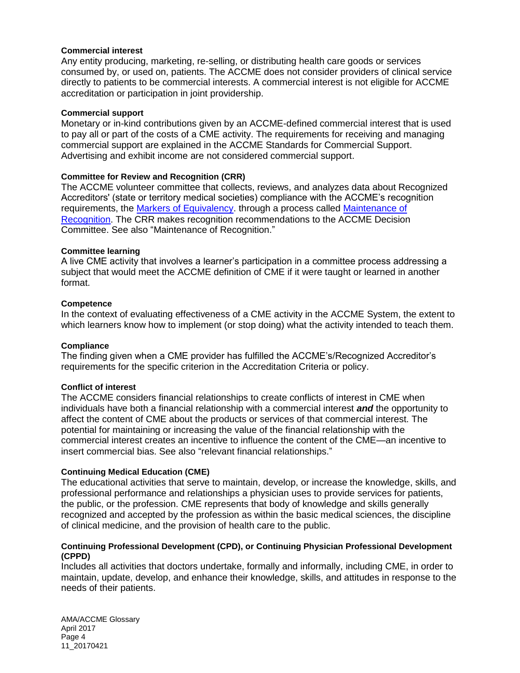## **Commercial interest**

Any entity producing, marketing, re-selling, or distributing health care goods or services consumed by, or used on, patients. The ACCME does not consider providers of clinical service directly to patients to be commercial interests. A commercial interest is not eligible for ACCME accreditation or participation in joint providership.

## **Commercial support**

Monetary or [in-kind](http://accme.org/ask-accme/how-do-we-report-kind-support) contributions given by an ACCME-defined commercial interest that is used to pay all or part of the costs of a CME activity. The requirements for receiving and managing commercial support are explained in the [ACCME Standards for Commercial Support.](http://accme.org/requirements/accreditation-requirements-cme-providers/standards-for-commercial-support) Advertising and exhibit income are not considered commercial support.

## **[Committee for Review and Recognition \(CRR\)](http://www.accme.org/about-us/our-leadership/committee-review-and-recognition)**

The ACCME volunteer committee that collects, reviews, and analyzes data about Recognized Accreditors' (state or territory medical societies) compliance with the ACCME's recognition requirements, the [Markers of Equivalency.](http://www.accme.org/requirements/for-state-accreditors/markers-of-equivalency) through a process called [Maintenance of](http://www.accme.org/accreditors/maintenance-of-recognition)  [Recognition.](http://www.accme.org/accreditors/maintenance-of-recognition) The CRR makes recognition recommendations to the ACCME Decision Committee. See also "Maintenance of Recognition."

## **Committee learning**

A live CME activity that involves a learner's participation in a committee process addressing a subject that would meet the [ACCME definition of CME](http://accme.org/requirements/accreditation-requirements-cme-providers/policies-and-definitions/cme-content-definition-and-examples) if it were taught or learned in another format.

## **Competence**

In the context of evaluating effectiveness of a CME activity in the ACCME System, the extent to which learners know how to implement (or stop doing) what the activity intended to teach them.

#### **Compliance**

The finding given when a CME provider has fulfilled the ACCME's/Recognized Accreditor's requirements for the specific criterion in the Accreditation Criteria or policy.

#### **Conflict of interest**

The ACCME considers financial relationships to create conflicts of interest in CME when individuals have both a financial relationship with a commercial interest *and* the opportunity to affect the content of CME about the products or services of that commercial interest. The potential for maintaining or increasing the value of the financial relationship with the commercial interest creates an incentive to influence the content of the CME—an incentive to insert commercial bias. See also "relevant financial relationships."

#### **Continuing Medical Education (CME)**

The educational activities that serve to maintain, develop, or increase the knowledge, skills, and professional performance and relationships a physician uses to provide services for patients, the public, or the profession. CME represents that body of knowledge and skills generally recognized and accepted by the profession as within the basic medical sciences, the discipline of clinical medicine, and the provision of health care to the public.

## **Continuing Professional Development (CPD), or Continuing Physician Professional Development (CPPD)**

Includes all activities that doctors undertake, formally and informally, including CME, in order to maintain, update, develop, and enhance their knowledge, skills, and attitudes in response to the needs of their patients.

AMA/ACCME Glossary April 2017 Page 4 11\_20170421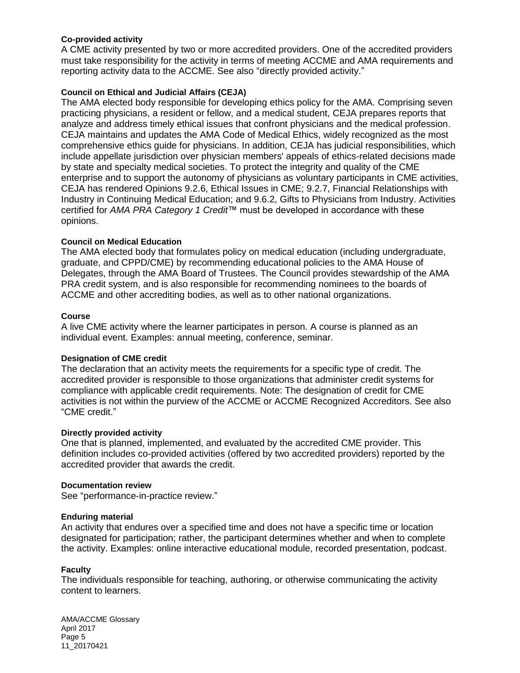# **Co-provided activity**

A CME activity presented by two or more accredited providers. One of the accredited providers must take responsibility for the activity in terms of meeting ACCME and AMA requirements and reporting activity data to the ACCME. See also "directly provided activity."

# **Council on Ethical and Judicial Affairs (CEJA)**

The AMA elected body responsible for developing ethics policy for the AMA. Comprising seven practicing physicians, a resident or fellow, and a medical student, CEJA prepares reports that analyze and address timely ethical issues that confront physicians and the medical profession. CEJA maintains and updates the AMA Code of Medical Ethics, widely recognized as the most comprehensive ethics guide for physicians. In addition, CEJA has judicial responsibilities, which include appellate jurisdiction over physician members' appeals of ethics-related decisions made by state and specialty medical societies. To protect the integrity and quality of the CME enterprise and to support the autonomy of physicians as voluntary participants in CME activities, CEJA has rendered Opinions 9.2.6, Ethical Issues in CME; 9.2.7, Financial Relationships with Industry in Continuing Medical Education; and 9.6.2, Gifts to Physicians from Industry. Activities certified for *AMA PRA Category 1 Credit*™ must be developed in accordance with these opinions.

# **Council on Medical Education**

The AMA elected body that formulates policy on medical education (including undergraduate, graduate, and CPPD/CME) by recommending educational policies to the AMA House of Delegates, through the AMA Board of Trustees. The Council provides stewardship of the AMA PRA credit system, and is also responsible for recommending nominees to the boards of ACCME and other accrediting bodies, as well as to other national organizations.

## **Course**

A live CME activity where the learner participates in person. A course is planned as an individual event. Examples: annual meeting, conference, seminar.

## **Designation of CME credit**

The declaration that an activity meets the requirements for a specific type of credit. The accredited provider is responsible to those organizations that administer credit systems for compliance with applicable credit requirements. Note: The designation of credit for CME activities is not within the purview of the ACCME or ACCME Recognized Accreditors. See also "CME credit."

## **Directly provided activity**

One that is planned, implemented, and evaluated by the accredited CME provider. This definition includes co-provided activities (offered by two accredited providers) reported by the accredited provider that awards the credit.

## **Documentation review**

See "performance-in-practice review."

## **Enduring material**

An activity that endures over a specified time and does not have a specific time or location designated for participation; rather, the participant determines whether and when to complete the activity. Examples: online interactive educational module, recorded presentation, podcast.

## **Faculty**

The individuals responsible for teaching, authoring, or otherwise communicating the activity content to learners.

AMA/ACCME Glossary April 2017 Page 5 11\_20170421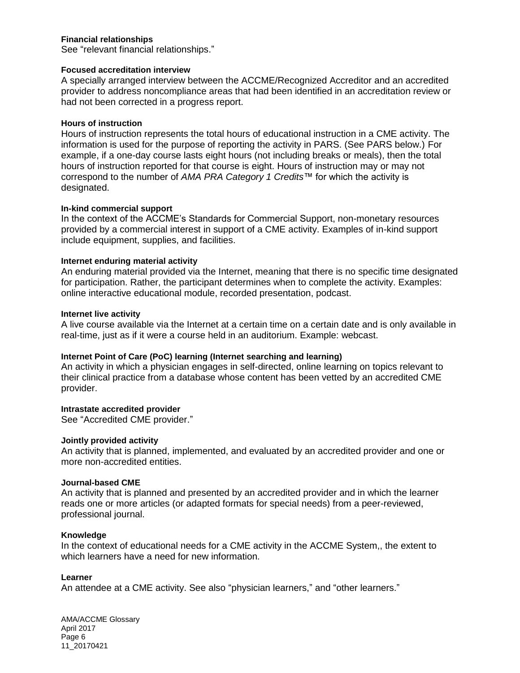## **Financial relationships**

See "relevant financial relationships."

#### **Focused accreditation interview**

A specially arranged interview between the ACCME/Recognized Accreditor and an accredited provider to address noncompliance areas that had been identified in an accreditation review or had not been corrected in a progress report.

#### **Hours of instruction**

[Hours of instruction](http://accme.org/ask-accme/how-does-accme-define-hours-instruction) represents the total hours of educational instruction in a CME activity. The information is used for the purpose of reporting the activity in PARS. (See PARS below.) For example, if a one-day course lasts eight hours (not including breaks or meals), then the total hours of instruction reported for that course is eight. [Hours of instruction](http://accme.org/ask-accme/how-does-accme-define-hours-instruction) [may or may not](http://accme.org/ask-accme/hours-instruction-same-number-ama-pra-category-1-credits-we-designated-activity)  [correspond](http://accme.org/ask-accme/hours-instruction-same-number-ama-pra-category-1-credits-we-designated-activity) to the number of *AMA PRA Category 1 Credits*™ for which the activity is designated.

#### **In-kind commercial support**

In the context of the ACCME's Standards for Commercial Support, non-monetary resources provided by a commercial interest in support of a CME activity. Examples of in-kind support include equipment, supplies, and facilities.

## **Internet enduring material activity**

An enduring material provided via the Internet, meaning that there is no specific time designated for participation. Rather, the participant determines when to complete the activity. Examples: online interactive educational module, recorded presentation, podcast.

#### **Internet live activity**

A live course available via the Internet at a certain time on a certain date and is only available in real-time, just as if it were a course held in an auditorium. Example: webcast.

#### **Internet Point of Care (PoC) learning (Internet searching and learning)**

An activity in which a physician engages in self-directed, online learning on topics relevant to their clinical practice from a database whose content has been vetted by an accredited CME provider.

#### **Intrastate accredited provider**

See "Accredited CME provider."

#### **Jointly provided activity**

An activity that is planned, implemented, and evaluated by an accredited provider and one or more non-accredited entities.

#### **Journal-based CME**

An activity that is planned and presented by an accredited provider and in which the learner reads one or more articles (or adapted formats for special needs) from a peer-reviewed, professional journal.

#### **Knowledge**

In the context of educational needs for a CME activity in the ACCME System,, the extent to which learners have a need for new information.

#### **Learner**

An attendee at a CME activity. See also "physician learners," and "other learners."

AMA/ACCME Glossary April 2017 Page 6 11\_20170421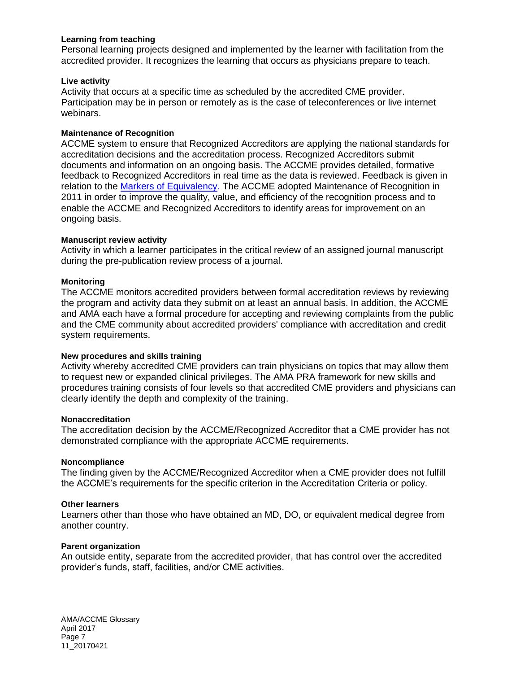## **Learning from teaching**

Personal learning projects designed and implemented by the learner with facilitation from the accredited provider. It recognizes the learning that occurs as physicians prepare to teach.

#### **Live activity**

Activity that occurs at a specific time as scheduled by the accredited CME provider. Participation may be in person or remotely as is the case of teleconferences or live internet webinars.

## **[Maintenance of Recognition](http://www.accme.org/accreditors/maintenance-of-recognition)**

ACCME system to ensure that Recognized Accreditors are applying the national standards for accreditation decisions and the accreditation process. Recognized Accreditors submit documents and information on an ongoing basis. The ACCME provides detailed, formative feedback to Recognized Accreditors in real time as the data is reviewed. Feedback is given in relation to the [Markers of Equivalency.](http://www.accme.org/requirements/for-state-accreditors/markers-of-equivalency) The ACCME adopted Maintenance of Recognition in 2011 in order to improve the quality, value, and efficiency of the recognition process and to enable the ACCME and Recognized Accreditors to identify areas for improvement on an ongoing basis.

## **Manuscript review activity**

Activity in which a learner participates in the critical review of an assigned journal manuscript during the pre-publication review process of a journal.

## **Monitoring**

The ACCME monitors accredited providers between formal accreditation reviews by reviewing the program and activity data they submit on at least an annual basis. In addition, the ACCME and AMA each have a formal procedure for accepting and reviewing complaints from the public and the CME community about accredited providers' compliance with accreditation and credit system requirements.

#### **New procedures and skills training**

Activity whereby accredited CME providers can train physicians on topics that may allow them to request new or expanded clinical privileges. The AMA PRA framework for new skills and procedures training consists of four levels so that accredited CME providers and physicians can clearly identify the depth and complexity of the training.

#### **Nonaccreditation**

The accreditation decision by the ACCME/Recognized Accreditor that a CME provider has not demonstrated compliance with the appropriate ACCME requirements.

#### **Noncompliance**

The finding given by the ACCME/Recognized Accreditor when a CME provider does not fulfill the ACCME's requirements for the specific criterion in the Accreditation Criteria or policy.

#### **Other learners**

Learners other than those who have obtained an MD, DO, or equivalent medical degree from another country.

## **Parent organization**

An outside entity, separate from the accredited provider, that has control over the accredited provider's funds, staff, facilities, and/or CME activities.

AMA/ACCME Glossary April 2017 Page 7 11\_20170421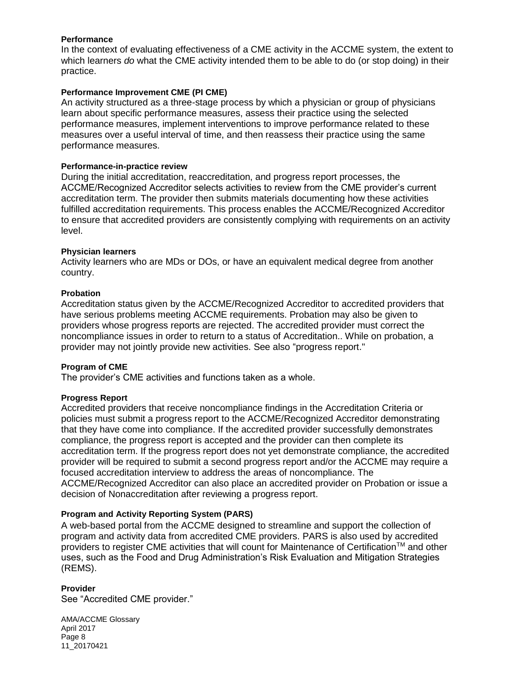## **Performance**

In the context of evaluating effectiveness of a CME activity in the ACCME system, the extent to which learners *do* what the CME activity intended them to be able to do (or stop doing) in their practice.

## **Performance Improvement CME (PI CME)**

An activity structured as a three-stage process by which a physician or group of physicians learn about specific performance measures, assess their practice using the selected performance measures, implement interventions to improve performance related to these measures over a useful interval of time, and then reassess their practice using the same performance measures.

#### **[Performance-in-practice review](http://www.accme.org/cme-providers/reaccreditation/performance-practice-review)**

During the initial accreditation, reaccreditation, and progress report processes, the ACCME/Recognized Accreditor selects activities to review from the CME provider's current accreditation term. The provider then submits materials documenting how these activities fulfilled accreditation requirements. This process enables the ACCME/Recognized Accreditor to ensure that accredited providers are consistently complying with requirements on an activity level.

## **Physician learners**

Activity learners who are MDs or DOs, or have an equivalent medical degree from another country.

## **Probation**

Accreditation status given by the ACCME/Recognized Accreditor to accredited providers that have serious problems meeting ACCME requirements. Probation may also be given to providers whose progress reports are rejected. The accredited provider must correct the noncompliance issues in order to return to a status of Accreditation.. While on probation, a provider may not jointly provide new activities. See also "progress report."

#### **Program of CME**

The provider's CME activities and functions taken as a whole.

#### **[Progress Report](http://www.accme.org/cme-providers/reaccreditation/progress-reports)**

Accredited providers that receive noncompliance findings in the Accreditation Criteria or policies must submit a progress report to the ACCME/Recognized Accreditor demonstrating that they have come into compliance. If the accredited provider successfully demonstrates compliance, the progress report is accepted and the provider can then complete its accreditation term. If the progress report does not yet demonstrate compliance, the accredited provider will be required to submit a second progress report and/or the ACCME may require a focused accreditation interview to address the areas of noncompliance. The ACCME/Recognized Accreditor can also place an accredited provider on Probation or issue a decision of Nonaccreditation after reviewing a progress report.

# **Program and Activity Reporting System (PARS)**

A web-based portal from the ACCME designed to streamline and support the collection of program and activity data from accredited CME providers. PARS is also used by accredited providers to register CME activities that will count for Maintenance of Certification™ and other uses, such as the Food and Drug Administration's Risk Evaluation and Mitigation Strategies (REMS).

## **Provider**

See "Accredited CME provider."

AMA/ACCME Glossary April 2017 Page 8 11\_20170421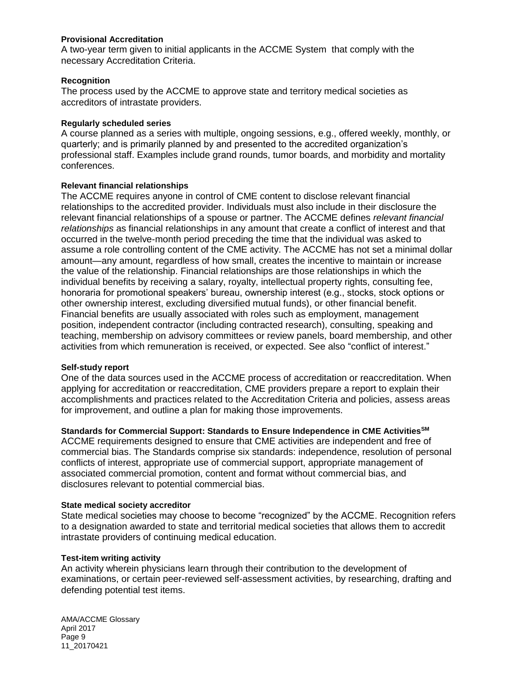## **Provisional Accreditation**

A two-year term given to initial applicants in the ACCME System that comply with the necessary Accreditation Criteria.

#### **[Recognition](http://www.accme.org/accreditors/history-scope-of-the-system)**

The process used by the ACCME to approve state and territory medical societies as accreditors of intrastate providers.

## **Regularly scheduled series**

A course planned as a series with multiple, ongoing sessions, e.g., offered weekly, monthly, or quarterly; and is primarily planned by and presented to the accredited organization's professional staff. Examples include grand rounds, tumor boards, and morbidity and mortality conferences.

## **Relevant financial relationships**

The ACCME requires anyone in control of CME content to disclose relevant financial relationships to the accredited provider. Individuals must also include in their disclosure the relevant financial relationships of a spouse or partner. The ACCME defines *relevant financial relationships* as financial relationships in any amount that create a conflict of interest and that occurred in the twelve-month period preceding the time that the individual was asked to assume a role controlling content of the CME activity. The ACCME has not set a minimal dollar amount—any amount, regardless of how small, creates the incentive to maintain or increase the value of the relationship. Financial relationships are those relationships in which the individual benefits by receiving a salary, royalty, intellectual property rights, consulting fee, honoraria for promotional speakers' bureau, ownership interest (e.g., stocks, stock options or other ownership interest, excluding diversified mutual funds), or other financial benefit. Financial benefits are usually associated with roles such as employment, management position, independent contractor (including contracted research), consulting, speaking and teaching, membership on advisory committees or review panels, board membership, and other activities from which remuneration is received, or expected. See also "conflict of interest."

## **[Self-study report](http://www.accme.org/cme-providers/reaccreditation/self-study-reports)**

One of the data sources used in the ACCME process of accreditation or reaccreditation. When applying for accreditation or reaccreditation, CME providers prepare a report to explain their accomplishments and practices related to the Accreditation Criteria and policies, assess areas for improvement, and outline a plan for making those improvements.

# **[Standards for Commercial Support: Standards to Ensure Independence in CME Activities](http://www.accme.org/requirements/accreditation-requirements-cme-providers/standards-for-commercial-support)SM**

ACCME requirements designed to ensure that CME activities are independent and free of commercial bias. The Standards comprise six standards: independence, resolution of personal conflicts of interest, appropriate use of commercial support, appropriate management of associated commercial promotion, content and format without commercial bias, and disclosures relevant to potential commercial bias.

#### **State medical society accreditor**

State medical societies may choose to become "recognized" by the ACCME. Recognition refers to a designation awarded to state and territorial medical societies that allows them to accredit intrastate providers of continuing medical education.

#### **Test-item writing activity**

An activity wherein physicians learn through their contribution to the development of examinations, or certain peer-reviewed self-assessment activities, by researching, drafting and defending potential test items.

AMA/ACCME Glossary April 2017 Page 9 11\_20170421